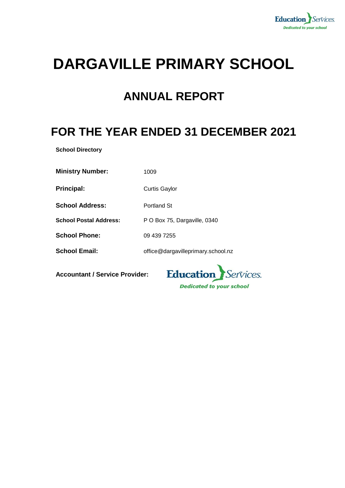

# **DARGAVILLE PRIMARY SCHOOL**

### **ANNUAL REPORT**

## **FOR THE YEAR ENDED 31 DECEMBER 2021**

**School Directory**

**Ministry Number:** 1009

**Principal:** Curtis Gaylor

**School Address:** Portland St

**School Postal Address:** P O Box 75, Dargaville, 0340

**School Phone:** 09 439 7255

**School Email:** office@dargavilleprimary.school.nz

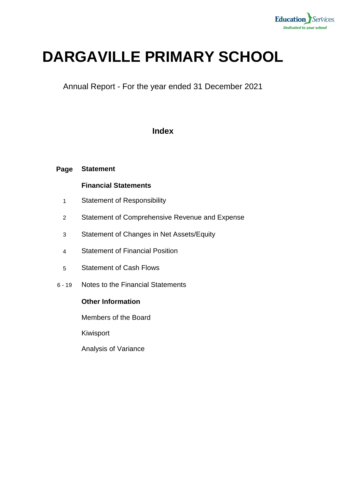

# **DARGAVILLE PRIMARY SCHOOL**

Annual Report - For the year ended 31 December 2021

### **Index**

#### **Page Statement**

#### **Financial Statements**

- 1 Statement of Responsibility
- 2 Statement of Comprehensive Revenue and Expense
- 3 Statement of Changes in Net Assets/Equity
- 4 Statement of Financial Position
- 5 Statement of Cash Flows
- 6 19 Notes to the Financial Statements

#### **Other Information**

Members of the Board

Kiwisport

Analysis of Variance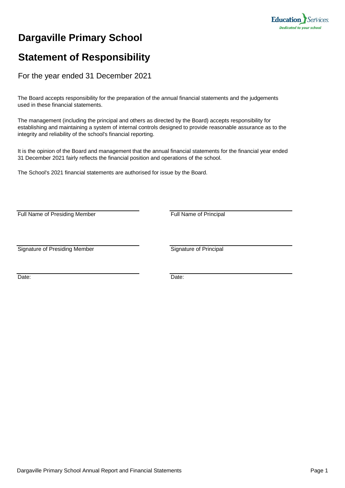

### **Dargaville Primary School**

### **Statement of Responsibility**

For the year ended 31 December 2021

The Board accepts responsibility for the preparation of the annual financial statements and the judgements used in these financial statements.

The management (including the principal and others as directed by the Board) accepts responsibility for establishing and maintaining a system of internal controls designed to provide reasonable assurance as to the integrity and reliability of the school's financial reporting.

It is the opinion of the Board and management that the annual financial statements for the financial year ended 31 December 2021 fairly reflects the financial position and operations of the school.

The School's 2021 financial statements are authorised for issue by the Board.

Full Name of Presiding Member Full Name of Principal

Signature of Presiding Member Signature of Principal

Date: **Date: Date: Date: Date: Date: Date: Date: Date: Date: Date:**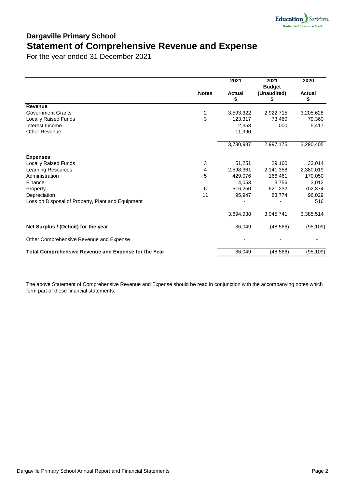

### **Dargaville Primary School Statement of Comprehensive Revenue and Expense**

For the year ended 31 December 2021

|                                                      |               | 2021                | 2021<br><b>Budget</b> | 2020                |
|------------------------------------------------------|---------------|---------------------|-----------------------|---------------------|
|                                                      | <b>Notes</b>  | <b>Actual</b><br>\$ | (Unaudited)<br>\$     | <b>Actual</b><br>\$ |
| Revenue                                              |               |                     |                       |                     |
| <b>Government Grants</b>                             | $\frac{2}{3}$ | 3,593,322           | 2,922,715             | 3,205,628           |
| <b>Locally Raised Funds</b>                          |               | 123,317             | 73,460                | 79,360              |
| Interest Income                                      |               | 2,358               | 1,000                 | 5,417               |
| <b>Other Revenue</b>                                 |               | 11,990              |                       |                     |
|                                                      |               | 3,730,987           | 2,997,175             | 3,290,405           |
| <b>Expenses</b>                                      |               |                     |                       |                     |
| <b>Locally Raised Funds</b>                          | 3             | 51,251              | 29,160                | 33,014              |
| <b>Learning Resources</b>                            | 4             | 2,598,361           | 2,141,358             | 2,380,019           |
| Administration                                       | 5             | 429,076             | 166,461               | 170,050             |
| Finance                                              |               | 4,053               | 3,756                 | 3,012               |
| Property                                             | 6             | 516,250             | 621,232               | 702,874             |
| Depreciation                                         | 11            | 95,947              | 83,774                | 96,029              |
| Loss on Disposal of Property, Plant and Equipment    |               |                     |                       | 516                 |
|                                                      |               | 3,694,938           | 3,045,741             | 3,385,514           |
| Net Surplus / (Deficit) for the year                 |               | 36,049              | (48, 566)             | (95, 109)           |
| Other Comprehensive Revenue and Expense              |               |                     |                       |                     |
| Total Comprehensive Revenue and Expense for the Year |               | 36,049              | (48, 566)             | (95, 109)           |

The above Statement of Comprehensive Revenue and Expense should be read in conjunction with the accompanying notes which form part of these financial statements.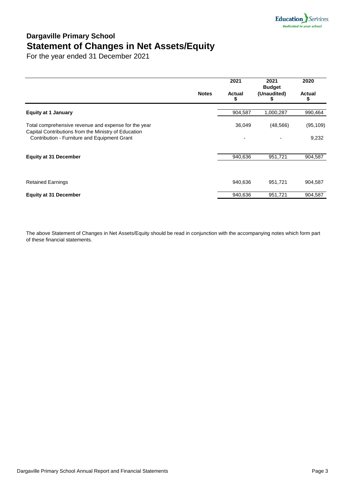

### **Dargaville Primary School Statement of Changes in Net Assets/Equity**

For the year ended 31 December 2021

|                                                                                                              |              | 2021           | 2021<br><b>Budget</b> | 2020          |
|--------------------------------------------------------------------------------------------------------------|--------------|----------------|-----------------------|---------------|
|                                                                                                              | <b>Notes</b> | Actual<br>S    | (Unaudited)           | <b>Actual</b> |
| <b>Equity at 1 January</b>                                                                                   |              | 904,587        | 1,000,287             | 990,464       |
| Total comprehensive revenue and expense for the year<br>Capital Contributions from the Ministry of Education |              | 36,049         | (48, 566)             | (95, 109)     |
| Contribution - Furniture and Equipment Grant                                                                 |              | $\overline{a}$ |                       | 9,232         |
| <b>Equity at 31 December</b>                                                                                 |              | 940,636        | 951,721               | 904,587       |
|                                                                                                              |              |                |                       |               |
| <b>Retained Earnings</b>                                                                                     |              | 940,636        | 951,721               | 904,587       |
| <b>Equity at 31 December</b>                                                                                 |              | 940,636        | 951,721               | 904,587       |

The above Statement of Changes in Net Assets/Equity should be read in conjunction with the accompanying notes which form part of these financial statements.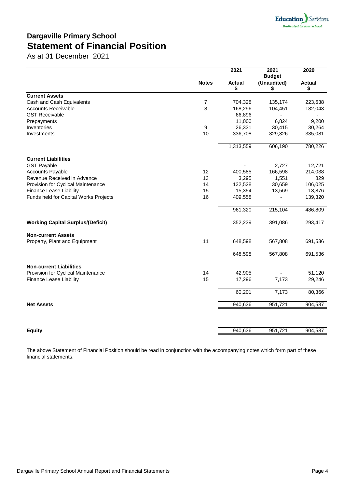

### **Dargaville Primary School Statement of Financial Position**

As at 31 December 2021

|                                          |                | 2021                | 2021<br><b>Budget</b> | 2020                |
|------------------------------------------|----------------|---------------------|-----------------------|---------------------|
|                                          | <b>Notes</b>   | <b>Actual</b><br>\$ | (Unaudited)<br>\$     | <b>Actual</b><br>\$ |
| <b>Current Assets</b>                    |                |                     |                       |                     |
| Cash and Cash Equivalents                | $\overline{7}$ | 704,328             | 135,174               | 223,638             |
| <b>Accounts Receivable</b>               | 8              | 168,296             | 104,451               | 182,043             |
| <b>GST Receivable</b>                    |                | 66,896              |                       |                     |
| Prepayments                              |                | 11,000              | 6,824                 | 9,200               |
| Inventories                              | 9              | 26,331              | 30,415                | 30,264              |
| Investments                              | 10             | 336,708             | 329,326               | 335,081             |
|                                          |                | 1,313,559           | 606,190               | 780,226             |
| <b>Current Liabilities</b>               |                |                     |                       |                     |
| <b>GST Payable</b>                       |                |                     | 2,727                 | 12,721              |
| <b>Accounts Payable</b>                  | 12             | 400,585             | 166,598               | 214,038             |
| Revenue Received in Advance              | 13             | 3,295               | 1,551                 | 829                 |
| Provision for Cyclical Maintenance       | 14             | 132,528             | 30,659                | 106,025             |
| <b>Finance Lease Liability</b>           | 15             | 15,354              | 13,569                | 13,876              |
| Funds held for Capital Works Projects    | 16             | 409,558             |                       | 139,320             |
|                                          |                | 961,320             | 215,104               | 486,809             |
| <b>Working Capital Surplus/(Deficit)</b> |                | 352,239             | 391,086               | 293,417             |
| <b>Non-current Assets</b>                |                |                     |                       |                     |
| Property, Plant and Equipment            | 11             | 648,598             | 567,808               | 691,536             |
|                                          |                | 648,598             | 567,808               | 691,536             |
| <b>Non-current Liabilities</b>           |                |                     |                       |                     |
| Provision for Cyclical Maintenance       | 14             | 42,905              |                       | 51,120              |
| <b>Finance Lease Liability</b>           | 15             | 17,296              | 7,173                 | 29,246              |
|                                          |                | 60,201              | 7,173                 | 80,366              |
| <b>Net Assets</b>                        |                | 940,636             | 951,721               | 904,587             |
|                                          |                |                     |                       |                     |
| <b>Equity</b>                            |                | 940,636             | 951,721               | 904,587             |
|                                          |                |                     |                       |                     |

The above Statement of Financial Position should be read in conjunction with the accompanying notes which form part of these financial statements.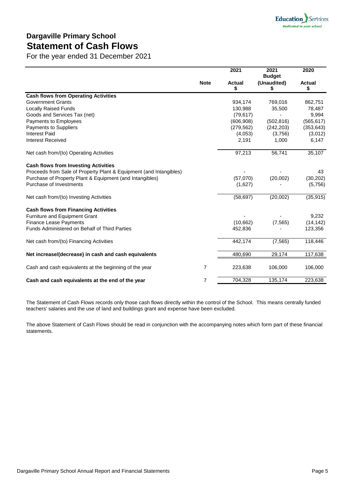### **Dargaville Primary School Statement of Cash Flows**

For the year ended 31 December 2021

|                                                                    | <b>Note</b>    | 2021                | 2021<br><b>Budget</b><br>(Unaudited)<br>\$ | 2020<br><b>Actual</b><br>\$ |
|--------------------------------------------------------------------|----------------|---------------------|--------------------------------------------|-----------------------------|
|                                                                    |                | <b>Actual</b><br>\$ |                                            |                             |
| <b>Cash flows from Operating Activities</b>                        |                |                     |                                            |                             |
| <b>Government Grants</b>                                           |                | 934,174             | 769,016                                    | 862,751                     |
| <b>Locally Raised Funds</b>                                        |                | 130,988             | 35,500                                     | 78,487                      |
| Goods and Services Tax (net)                                       |                | (79, 617)           |                                            | 9,994                       |
| Payments to Employees                                              |                | (606, 908)          | (502, 816)                                 | (565, 617)                  |
| <b>Payments to Suppliers</b>                                       |                | (279, 562)          | (242, 203)                                 | (353, 643)                  |
| <b>Interest Paid</b>                                               |                | (4,053)             | (3,756)                                    | (3,012)                     |
| <b>Interest Received</b>                                           |                | 2,191               | 1,000                                      | 6,147                       |
| Net cash from/(to) Operating Activities                            |                | 97,213              | 56,741                                     | 35,107                      |
| <b>Cash flows from Investing Activities</b>                        |                |                     |                                            |                             |
| Proceeds from Sale of Property Plant & Equipment (and Intangibles) |                |                     |                                            | 43                          |
| Purchase of Property Plant & Equipment (and Intangibles)           |                | (57,070)            | (20,002)                                   | (30, 202)                   |
| Purchase of Investments                                            |                | (1,627)             |                                            | (5,756)                     |
| Net cash from/(to) Investing Activities                            |                | (58, 697)           | (20,002)                                   | (35, 915)                   |
| <b>Cash flows from Financing Activities</b>                        |                |                     |                                            |                             |
| <b>Furniture and Equipment Grant</b>                               |                |                     |                                            | 9,232                       |
| <b>Finance Lease Payments</b>                                      |                | (10,662)            | (7, 565)                                   | (14, 142)                   |
| Funds Administered on Behalf of Third Parties                      |                | 452,836             |                                            | 123,356                     |
| Net cash from/(to) Financing Activities                            |                | 442,174             | (7, 565)                                   | 118,446                     |
| Net increase/(decrease) in cash and cash equivalents               |                | 480,690             | 29,174                                     | 117,638                     |
| Cash and cash equivalents at the beginning of the year             | 7              | 223,638             | 106,000                                    | 106,000                     |
| Cash and cash equivalents at the end of the year                   | $\overline{7}$ | 704,328             | 135,174                                    | 223,638                     |

The Statement of Cash Flows records only those cash flows directly within the control of the School. This means centrally funded teachers' salaries and the use of land and buildings grant and expense have been excluded.

The above Statement of Cash Flows should be read in conjunction with the accompanying notes which form part of these financial statements.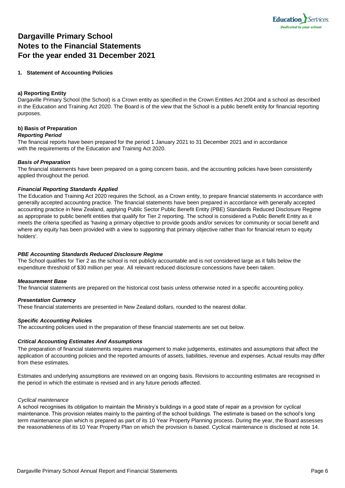

### **Dargaville Primary School Notes to the Financial Statements For the year ended 31 December 2021**

#### **1. Statement of Accounting Policies**

#### **a) Reporting Entity**

Dargaville Primary School (the School) is a Crown entity as specified in the Crown Entities Act 2004 and a school as described in the Education and Training Act 2020. The Board is of the view that the School is a public benefit entity for financial reporting purposes.

#### **b) Basis of Preparation**

#### *Reporting Period*

The financial reports have been prepared for the period 1 January 2021 to 31 December 2021 and in accordance with the requirements of the Education and Training Act 2020.

#### *Basis of Preparation*

The financial statements have been prepared on a going concern basis, and the accounting policies have been consistently applied throughout the period.

#### *Financial Reporting Standards Applied*

The Education and Training Act 2020 requires the School, as a Crown entity, to prepare financial statements in accordance with generally accepted accounting practice. The financial statements have been prepared in accordance with generally accepted accounting practice in New Zealand, applying Public Sector Public Benefit Entity (PBE) Standards Reduced Disclosure Regime as appropriate to public benefit entities that qualify for Tier 2 reporting. The school is considered a Public Benefit Entity as it meets the criteria specified as 'having a primary objective to provide goods and/or services for community or social benefit and where any equity has been provided with a view to supporting that primary objective rather than for financial return to equity holders'.

#### *PBE Accounting Standards Reduced Disclosure Regime*

The School qualifies for Tier 2 as the school is not publicly accountable and is not considered large as it falls below the expenditure threshold of \$30 million per year. All relevant reduced disclosure concessions have been taken.

#### *Measurement Base*

The financial statements are prepared on the historical cost basis unless otherwise noted in a specific accounting policy.

#### *Presentation Currency*

These financial statements are presented in New Zealand dollars, rounded to the nearest dollar.

#### *Specific Accounting Policies*

The accounting policies used in the preparation of these financial statements are set out below.

#### *Critical Accounting Estimates And Assumptions*

The preparation of financial statements requires management to make judgements, estimates and assumptions that affect the application of accounting policies and the reported amounts of assets, liabilities, revenue and expenses. Actual results may differ from these estimates.

Estimates and underlying assumptions are reviewed on an ongoing basis. Revisions to accounting estimates are recognised in the period in which the estimate is revised and in any future periods affected.

#### *Cyclical maintenance*

A school recognises its obligation to maintain the Ministry's buildings in a good state of repair as a provision for cyclical maintenance. This provision relates mainly to the painting of the school buildings. The estimate is based on the school's long term maintenance plan which is prepared as part of its 10 Year Property Planning process. During the year, the Board assesses the reasonableness of its 10 Year Property Plan on which the provision is based. Cyclical maintenance is disclosed at note 14.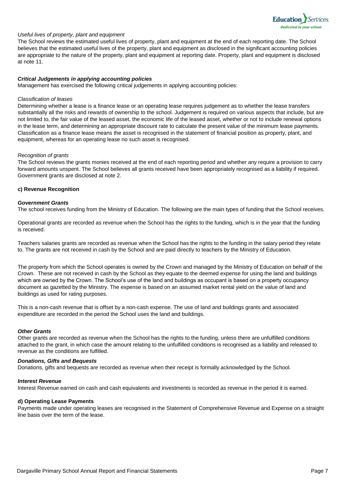

#### *Useful lives of property, plant and equipment*

The School reviews the estimated useful lives of property, plant and equipment at the end of each reporting date. The School believes that the estimated useful lives of the property, plant and equipment as disclosed in the significant accounting policies are appropriate to the nature of the property, plant and equipment at reporting date. Property, plant and equipment is disclosed at note 11.

#### *Critical Judgements in applying accounting policies*

Management has exercised the following critical judgements in applying accounting policies:

#### *Classification of leases*

Determining whether a lease is a finance lease or an operating lease requires judgement as to whether the lease transfers substantially all the risks and rewards of ownership to the school. Judgement is required on various aspects that include, but are not limited to, the fair value of the leased asset, the economic life of the leased asset, whether or not to include renewal options in the lease term, and determining an appropriate discount rate to calculate the present value of the minimum lease payments. Classification as a finance lease means the asset is recognised in the statement of financial position as property, plant, and equipment, whereas for an operating lease no such asset is recognised.

#### *Recognition of grants*

The School reviews the grants monies received at the end of each reporting period and whether any require a provision to carry forward amounts unspent. The School believes all grants received have been appropriately recognised as a liability if required. Government grants are disclosed at note 2.

#### **c) Revenue Recognition**

#### *Government Grants*

The school receives funding from the Ministry of Education. The following are the main types of funding that the School receives.

Operational grants are recorded as revenue when the School has the rights to the funding, which is in the year that the funding is received.

Teachers salaries grants are recorded as revenue when the School has the rights to the funding in the salary period they relate to. The grants are not received in cash by the School and are paid directly to teachers by the Ministry of Education.

The property from which the School operates is owned by the Crown and managed by the Ministry of Education on behalf of the Crown. These are not received in cash by the School as they equate to the deemed expense for using the land and buildings which are owned by the Crown. The School's use of the land and buildings as occupant is based on a property occupancy document as gazetted by the Ministry. The expense is based on an assumed market rental yield on the value of land and buildings as used for rating purposes.

This is a non-cash revenue that is offset by a non-cash expense. The use of land and buildings grants and associated expenditure are recorded in the period the School uses the land and buildings.

#### *Other Grants*

Other grants are recorded as revenue when the School has the rights to the funding, unless there are unfulfilled conditions attached to the grant, in which case the amount relating to the unfulfilled conditions is recognised as a liability and released to revenue as the conditions are fulfilled.

#### *Donations, Gifts and Bequests*

Donations, gifts and bequests are recorded as revenue when their receipt is formally acknowledged by the School.

#### *Interest Revenue*

Interest Revenue earned on cash and cash equivalents and investments is recorded as revenue in the period it is earned.

#### **d) Operating Lease Payments**

Payments made under operating leases are recognised in the Statement of Comprehensive Revenue and Expense on a straight line basis over the term of the lease.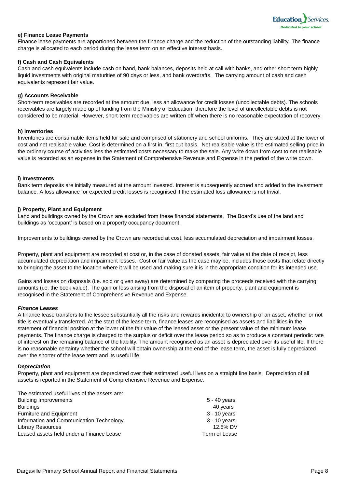

#### **e) Finance Lease Payments**

Finance lease payments are apportioned between the finance charge and the reduction of the outstanding liability. The finance charge is allocated to each period during the lease term on an effective interest basis.

#### **f) Cash and Cash Equivalents**

Cash and cash equivalents include cash on hand, bank balances, deposits held at call with banks, and other short term highly liquid investments with original maturities of 90 days or less, and bank overdrafts. The carrying amount of cash and cash equivalents represent fair value.

#### **g) Accounts Receivable**

Short-term receivables are recorded at the amount due, less an allowance for credit losses (uncollectable debts). The schools receivables are largely made up of funding from the Ministry of Education, therefore the level of uncollectable debts is not considered to be material. However, short-term receivables are written off when there is no reasonable expectation of recovery.

#### **h) Inventories**

Inventories are consumable items held for sale and comprised of stationery and school uniforms. They are stated at the lower of cost and net realisable value. Cost is determined on a first in, first out basis. Net realisable value is the estimated selling price in the ordinary course of activities less the estimated costs necessary to make the sale. Any write down from cost to net realisable value is recorded as an expense in the Statement of Comprehensive Revenue and Expense in the period of the write down.

#### **i) Investments**

Bank term deposits are initially measured at the amount invested. Interest is subsequently accrued and added to the investment balance. A loss allowance for expected credit losses is recognised if the estimated loss allowance is not trivial.

#### **j) Property, Plant and Equipment**

Land and buildings owned by the Crown are excluded from these financial statements. The Board's use of the land and buildings as 'occupant' is based on a property occupancy document.

Improvements to buildings owned by the Crown are recorded at cost, less accumulated depreciation and impairment losses.

Property, plant and equipment are recorded at cost or, in the case of donated assets, fair value at the date of receipt, less accumulated depreciation and impairment losses. Cost or fair value as the case may be, includes those costs that relate directly to bringing the asset to the location where it will be used and making sure it is in the appropriate condition for its intended use.

Gains and losses on disposals (i.e. sold or given away) are determined by comparing the proceeds received with the carrying amounts (i.e. the book value). The gain or loss arising from the disposal of an item of property, plant and equipment is recognised in the Statement of Comprehensive Revenue and Expense.

#### *Finance Leases*

A finance lease transfers to the lessee substantially all the risks and rewards incidental to ownership of an asset, whether or not title is eventually transferred. At the start of the lease term, finance leases are recognised as assets and liabilities in the statement of financial position at the lower of the fair value of the leased asset or the present value of the minimum lease payments. The finance charge is charged to the surplus or deficit over the lease period so as to produce a constant periodic rate of interest on the remaining balance of the liability. The amount recognised as an asset is depreciated over its useful life. If there is no reasonable certainty whether the school will obtain ownership at the end of the lease term, the asset is fully depreciated over the shorter of the lease term and its useful life.

#### *Depreciation*

Property, plant and equipment are depreciated over their estimated useful lives on a straight line basis. Depreciation of all assets is reported in the Statement of Comprehensive Revenue and Expense.

The estimated useful lives of the assets are: Building Improvements 5 - 40 years

| <b>Dunality Improvements</b>             | J - 40 yuai 5  |
|------------------------------------------|----------------|
| <b>Buildings</b>                         | 40 years       |
| <b>Furniture and Equipment</b>           | $3 - 10$ years |
| Information and Communication Technology | 3 - 10 years   |
| <b>Library Resources</b>                 | 12.5% DV       |
| Leased assets held under a Finance Lease | Term of Lease  |
|                                          |                |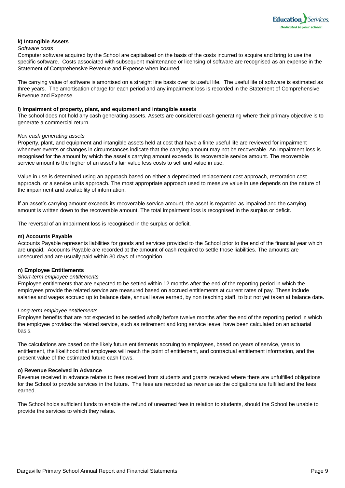

#### **k) Intangible Assets**

#### *Software costs*

Computer software acquired by the School are capitalised on the basis of the costs incurred to acquire and bring to use the specific software. Costs associated with subsequent maintenance or licensing of software are recognised as an expense in the Statement of Comprehensive Revenue and Expense when incurred.

The carrying value of software is amortised on a straight line basis over its useful life. The useful life of software is estimated as three years. The amortisation charge for each period and any impairment loss is recorded in the Statement of Comprehensive Revenue and Expense.

#### **l) Impairment of property, plant, and equipment and intangible assets**

The school does not hold any cash generating assets. Assets are considered cash generating where their primary objective is to generate a commercial return.

#### *Non cash generating assets*

Property, plant, and equipment and intangible assets held at cost that have a finite useful life are reviewed for impairment whenever events or changes in circumstances indicate that the carrying amount may not be recoverable. An impairment loss is recognised for the amount by which the asset's carrying amount exceeds its recoverable service amount. The recoverable service amount is the higher of an asset's fair value less costs to sell and value in use.

Value in use is determined using an approach based on either a depreciated replacement cost approach, restoration cost approach, or a service units approach. The most appropriate approach used to measure value in use depends on the nature of the impairment and availability of information.

If an asset's carrying amount exceeds its recoverable service amount, the asset is regarded as impaired and the carrying amount is written down to the recoverable amount. The total impairment loss is recognised in the surplus or deficit.

The reversal of an impairment loss is recognised in the surplus or deficit.

#### **m) Accounts Payable**

Accounts Payable represents liabilities for goods and services provided to the School prior to the end of the financial year which are unpaid. Accounts Payable are recorded at the amount of cash required to settle those liabilities. The amounts are unsecured and are usually paid within 30 days of recognition.

#### **n) Employee Entitlements**

#### *Short-term employee entitlements*

Employee entitlements that are expected to be settled within 12 months after the end of the reporting period in which the employees provide the related service are measured based on accrued entitlements at current rates of pay. These include salaries and wages accrued up to balance date, annual leave earned, by non teaching staff, to but not yet taken at balance date.

#### *Long-term employee entitlements*

Employee benefits that are not expected to be settled wholly before twelve months after the end of the reporting period in which the employee provides the related service, such as retirement and long service leave, have been calculated on an actuarial basis.

The calculations are based on the likely future entitlements accruing to employees, based on years of service, years to entitlement, the likelihood that employees will reach the point of entitlement, and contractual entitlement information, and the present value of the estimated future cash flows.

#### **o) Revenue Received in Advance**

Revenue received in advance relates to fees received from students and grants received where there are unfulfilled obligations for the School to provide services in the future. The fees are recorded as revenue as the obligations are fulfilled and the fees earned.

The School holds sufficient funds to enable the refund of unearned fees in relation to students, should the School be unable to provide the services to which they relate.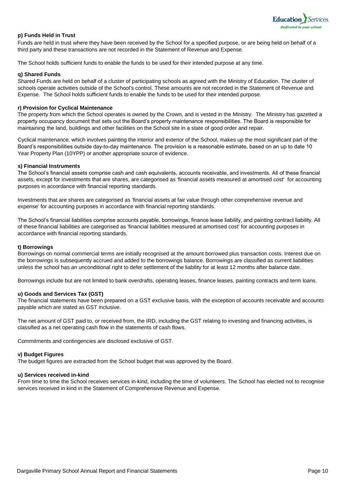

#### **p) Funds Held in Trust**

Funds are held in trust where they have been received by the School for a specified purpose, or are being held on behalf of a third party and these transactions are not recorded in the Statement of Revenue and Expense.

The School holds sufficient funds to enable the funds to be used for their intended purpose at any time.

#### **q) Shared Funds**

Shared Funds are held on behalf of a cluster of participating schools as agreed with the Ministry of Education. The cluster of schools operate activities outside of the School's control. These amounts are not recorded in the Statement of Revenue and Expense. The School holds sufficient funds to enable the funds to be used for their intended purpose.

#### **r) Provision for Cyclical Maintenance**

The property from which the School operates is owned by the Crown, and is vested in the Ministry. The Ministry has gazetted a property occupancy document that sets out the Board's property maintenance responsibilities. The Board is responsible for maintaining the land, buildings and other facilities on the School site in a state of good order and repair.

Cyclical maintenance, which involves painting the interior and exterior of the School, makes up the most significant part of the Board's responsibilities outside day-to-day maintenance. The provision is a reasonable estimate, based on an up to date 10 Year Property Plan (10YPP) or another appropriate source of evidence.

#### **s) Financial Instruments**

The School's financial assets comprise cash and cash equivalents, accounts receivable, and investments. All of these financial assets, except for investments that are shares, are categorised as 'financial assets measured at amortised cost' for accounting purposes in accordance with financial reporting standards.

Investments that are shares are categorised as 'financial assets at fair value through other comprehensive revenue and expense' for accounting purposes in accordance with financial reporting standards.

The School's financial liabilities comprise accounts payable, borrowings, finance lease liability, and painting contract liability. All of these financial liabilities are categorised as 'financial liabilities measured at amortised cost' for accounting purposes in accordance with financial reporting standards.

#### **t) Borrowings**

Borrowings on normal commercial terms are initially recognised at the amount borrowed plus transaction costs. Interest due on the borrowings is subsequently accrued and added to the borrowings balance. Borrowings are classified as current liabilities unless the school has an unconditional right to defer settlement of the liability for at least 12 months after balance date.

Borrowings include but are not limited to bank overdrafts, operating leases, finance leases, painting contracts and term loans.

#### **u) Goods and Services Tax (GST)**

The financial statements have been prepared on a GST exclusive basis, with the exception of accounts receivable and accounts payable which are stated as GST inclusive.

The net amount of GST paid to, or received from, the IRD, including the GST relating to investing and financing activities, is classified as a net operating cash flow in the statements of cash flows.

Commitments and contingencies are disclosed exclusive of GST.

#### **v) Budget Figures**

The budget figures are extracted from the School budget that was approved by the Board.

#### **u) Services received in-kind**

From time to time the School receives services in-kind, including the time of volunteers. The School has elected not to recognise services received in kind in the Statement of Comprehensive Revenue and Expense.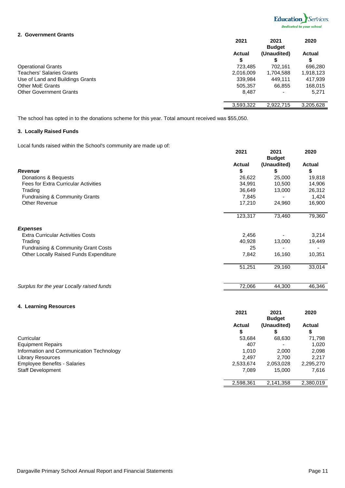

#### **2. Government Grants**

|                                  | 2021          | 2021<br><b>Budget</b> | 2020          |
|----------------------------------|---------------|-----------------------|---------------|
|                                  | <b>Actual</b> | (Unaudited)           | <b>Actual</b> |
|                                  | S             | S                     | œ<br>จ        |
| <b>Operational Grants</b>        | 723,485       | 702,161               | 696,280       |
| <b>Teachers' Salaries Grants</b> | 2,016,009     | 1,704,588             | 1,918,123     |
| Use of Land and Buildings Grants | 339,984       | 449,111               | 417,939       |
| <b>Other MoE Grants</b>          | 505,357       | 66,855                | 168,015       |
| <b>Other Government Grants</b>   | 8,487         |                       | 5,271         |
|                                  | 3,593,322     | 2,922,715             | 3,205,628     |

The school has opted in to the donations scheme for this year. Total amount received was \$55,050.

#### **3. Locally Raised Funds**

Local funds raised within the School's community are made up of:

|                                                | 2021          | 2021<br><b>Budget</b> | 2020          |
|------------------------------------------------|---------------|-----------------------|---------------|
|                                                | <b>Actual</b> | (Unaudited)           | <b>Actual</b> |
| <b>Revenue</b>                                 | \$            | \$                    | \$            |
| Donations & Bequests                           | 26,622        | 25,000                | 19,818        |
| <b>Fees for Extra Curricular Activities</b>    | 34,991        | 10,500                | 14,906        |
| Trading                                        | 36,649        | 13,000                | 26,312        |
| <b>Fundraising &amp; Community Grants</b>      | 7,845         |                       | 1,424         |
| <b>Other Revenue</b>                           | 17,210        | 24,960                | 16,900        |
|                                                | 123,317       | 73,460                | 79,360        |
| <b>Expenses</b>                                |               |                       |               |
| <b>Extra Curricular Activities Costs</b>       | 2,456         |                       | 3,214         |
| Trading                                        | 40,928        | 13,000                | 19,449        |
| <b>Fundraising &amp; Community Grant Costs</b> | 25            |                       |               |
| Other Locally Raised Funds Expenditure         | 7,842         | 16,160                | 10,351        |
|                                                | 51,251        | 29,160                | 33,014        |
| Surplus for the year Locally raised funds      | 72,066        | 44,300                | 46,346        |

#### **4. Learning Resources**

|                                          | 2021          | 2021<br><b>Budget</b> | 2020          |
|------------------------------------------|---------------|-----------------------|---------------|
|                                          | <b>Actual</b> | (Unaudited)           | <b>Actual</b> |
|                                          | S             |                       | \$            |
| Curricular                               | 53,684        | 68,630                | 71,798        |
| <b>Equipment Repairs</b>                 | 407           |                       | 1,020         |
| Information and Communication Technology | 1.010         | 2,000                 | 2,098         |
| <b>Library Resources</b>                 | 2,497         | 2,700                 | 2.217         |
| <b>Employee Benefits - Salaries</b>      | 2,533,674     | 2,053,028             | 2,295,270     |
| <b>Staff Development</b>                 | 7,089         | 15,000                | 7,616         |
|                                          | 2,598,361     | 2,141,358             | 2,380,019     |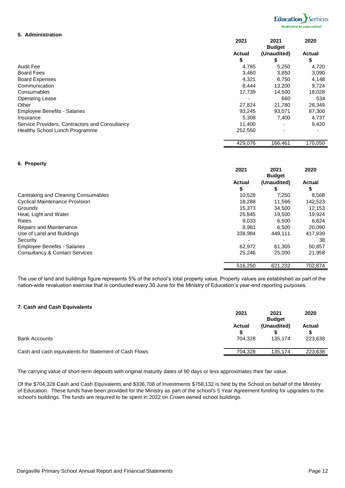

#### **5. Administration**

|                                                | 2021          | 2021<br><b>Budget</b> | 2020          |
|------------------------------------------------|---------------|-----------------------|---------------|
|                                                | <b>Actual</b> | (Unaudited)           | <b>Actual</b> |
|                                                | \$            | S                     | \$            |
| Audit Fee                                      | 4,785         | 5,250                 | 4,720         |
| <b>Board Fees</b>                              | 3,460         | 3,850                 | 3,090         |
| <b>Board Expenses</b>                          | 4,321         | 6,750                 | 4,148         |
| Communication                                  | 8,444         | 13,200                | 9,724         |
| Consumables                                    | 17,739        | 14,500                | 18,028        |
| <b>Operating Lease</b>                         |               | 660                   | 534           |
| Other                                          | 27,824        | 21,780                | 28,349        |
| <b>Employee Benefits - Salaries</b>            | 93,245        | 93,071                | 87,300        |
| Insurance                                      | 5,308         | 7,400                 | 4,737         |
| Service Providers, Contractors and Consultancy | 11,400        |                       | 9,420         |
| <b>Healthy School Lunch Programme</b>          | 252,550       | ۰                     |               |
|                                                | 429,076       | 166,461               | 170,050       |

#### **6. Property**

|                                           | 2021          | 2021<br><b>Budget</b> | 2020          |
|-------------------------------------------|---------------|-----------------------|---------------|
|                                           | <b>Actual</b> | (Unaudited)           | <b>Actual</b> |
|                                           | \$            | S                     | \$            |
| Caretaking and Cleaning Consumables       | 10,528        | 7,250                 | 8,568         |
| <b>Cyclical Maintenance Provision</b>     | 18.288        | 11,566                | 142,523       |
| Grounds                                   | 15.373        | 34.500                | 12,153        |
| Heat, Light and Water                     | 25,845        | 19.500                | 19,924        |
| Rates                                     | 9.033         | 6,500                 | 8,824         |
| Repairs and Maintenance                   | 8.981         | 6.500                 | 20,090        |
| Use of Land and Buildings                 | 339,984       | 449.111               | 417,939       |
| Security                                  |               |                       | 38            |
| <b>Employee Benefits - Salaries</b>       | 62.972        | 61,305                | 50,857        |
| <b>Consultancy &amp; Contact Services</b> | 25.246        | 25,000                | 21,958        |
|                                           | 516,250       | 621,232               | 702,874       |

The use of land and buildings figure represents 5% of the school's total property value. Property values are established as part of the nation-wide revaluation exercise that is conducted every 30 June for the Ministry of Education's year-end reporting purposes.

#### **7. Cash and Cash Equivalents**

|                                                       | 2021          | 2021<br><b>Budget</b> | 2020          |
|-------------------------------------------------------|---------------|-----------------------|---------------|
|                                                       | <b>Actual</b> | (Unaudited)           | <b>Actual</b> |
| <b>Bank Accounts</b>                                  | 704.328       | 135.174               | 223,638       |
| Cash and cash equivalents for Statement of Cash Flows | 704.328       | 135,174               | 223,638       |

The carrying value of short-term deposits with original maturity dates of 90 days or less approximates their fair value.

Of the \$704,328 Cash and Cash Equivalents and \$336,708 of Investments \$758,132 is held by the School on behalf of the Ministry of Education. These funds have been provided for the Ministry as part of the school's 5 Year Agreement funding for upgrades to the school's buildings. The funds are required to be spent in 2022 on Crown owned school buildings.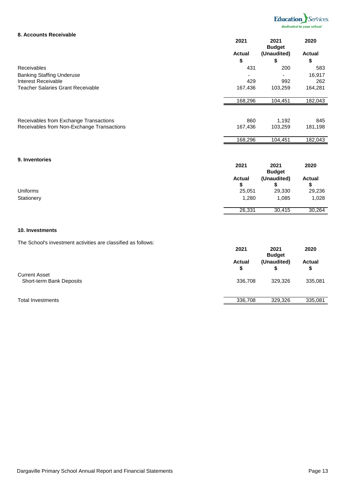

#### **8. Accounts Receivable**

|                                            | 2021          | 2021<br><b>Budget</b> | 2020          |
|--------------------------------------------|---------------|-----------------------|---------------|
|                                            | <b>Actual</b> | (Unaudited)           | <b>Actual</b> |
|                                            | \$            | \$                    | \$            |
| <b>Receivables</b>                         | 431           | 200                   | 583           |
| <b>Banking Staffing Underuse</b>           |               |                       | 16,917        |
| Interest Receivable                        | 429           | 992                   | 262           |
| <b>Teacher Salaries Grant Receivable</b>   | 167,436       | 103,259               | 164,281       |
|                                            | 168,296       | 104,451               | 182,043       |
| Receivables from Exchange Transactions     | 860           | 1,192                 | 845           |
| Receivables from Non-Exchange Transactions | 167,436       | 103,259               | 181,198       |
|                                            | 168,296       | 104,451               | 182,043       |

#### **9. Inventories**

|                 | 2021               | 2021<br><b>Budget</b> | 2020               |
|-----------------|--------------------|-----------------------|--------------------|
|                 | <b>Actual</b><br>S | (Unaudited)           | <b>Actual</b><br>จ |
| <b>Uniforms</b> | 25,051             | 29,330                | 29,236             |
| Stationery      | 1,280              | 1,085                 | 1,028              |
|                 | 26,331             | 30,415                | 30,264             |

#### **10. Investments**

The School's investment activities are classified as follows:

|                                                  | 2021                | 2021<br><b>Budget</b> | 2020                |
|--------------------------------------------------|---------------------|-----------------------|---------------------|
|                                                  | <b>Actual</b><br>\$ | (Unaudited)           | <b>Actual</b><br>\$ |
| <b>Current Asset</b><br>Short-term Bank Deposits | 336,708             | 329,326               | 335,081             |
| <b>Total Investments</b>                         | 336,708             | 329,326               | 335,081             |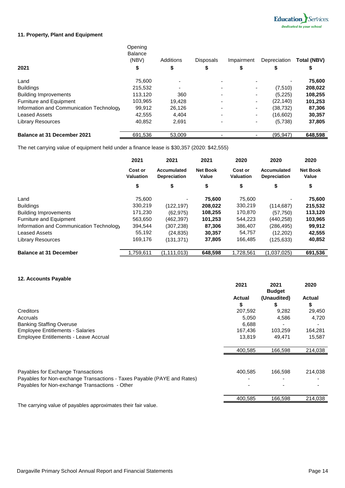

#### **11. Property, Plant and Equipment**

|                                          | Opening<br><b>Balance</b><br>(NBV) | Additions | <b>Disposals</b>         | Impairment               | Depreciation | <b>Total (NBV)</b> |
|------------------------------------------|------------------------------------|-----------|--------------------------|--------------------------|--------------|--------------------|
| 2021                                     | \$                                 | \$        | \$                       | \$                       | S            | \$                 |
| Land                                     | 75,600                             |           | $\overline{\phantom{0}}$ |                          |              | 75,600             |
| <b>Buildings</b>                         | 215,532                            |           |                          |                          | (7, 510)     | 208,022            |
| <b>Building Improvements</b>             | 113,120                            | 360       |                          | $\blacksquare$           | (5,225)      | 108,255            |
| <b>Furniture and Equipment</b>           | 103,965                            | 19.428    |                          | $\blacksquare$           | (22,140)     | 101,253            |
| Information and Communication Technology | 99,912                             | 26,126    |                          | $\blacksquare$           | (38,732)     | 87,306             |
| <b>Leased Assets</b>                     | 42,555                             | 4,404     | $\overline{\phantom{0}}$ | $\overline{\phantom{a}}$ | (16,602)     | 30,357             |
| <b>Library Resources</b>                 | 40.852                             | 2,691     |                          |                          | (5,738)      | 37,805             |
| <b>Balance at 31 December 2021</b>       | 691,536                            | 53,009    |                          |                          | (95, 947)    | 648,598            |

The net carrying value of equipment held under a finance lease is \$30,357 (2020: \$42,555)

|                                          | 2021<br>Cost or<br><b>Valuation</b> | 2021                               | 2021                            | 2020                        | 2020                               | 2020                     |
|------------------------------------------|-------------------------------------|------------------------------------|---------------------------------|-----------------------------|------------------------------------|--------------------------|
|                                          |                                     | Accumulated<br><b>Depreciation</b> | <b>Net Book</b><br><b>Value</b> | Cost or<br><b>Valuation</b> | Accumulated<br><b>Depreciation</b> | <b>Net Book</b><br>Value |
|                                          | \$                                  | \$                                 | \$                              | \$                          | \$                                 | \$                       |
| Land                                     | 75,600                              |                                    | 75,600                          | 75,600                      |                                    | 75,600                   |
| <b>Buildings</b>                         | 330,219                             | (122, 197)                         | 208,022                         | 330,219                     | (114, 687)                         | 215,532                  |
| <b>Building Improvements</b>             | 171,230                             | (62, 975)                          | 108,255                         | 170,870                     | (57, 750)                          | 113,120                  |
| <b>Furniture and Equipment</b>           | 563,650                             | (462, 397)                         | 101,253                         | 544,223                     | (440, 258)                         | 103,965                  |
| Information and Communication Technology | 394,544                             | (307, 238)                         | 87,306                          | 386,407                     | (286, 495)                         | 99,912                   |
| <b>Leased Assets</b>                     | 55,192                              | (24, 835)                          | 30,357                          | 54,757                      | (12, 202)                          | 42,555                   |
| <b>Library Resources</b>                 | 169.176                             | (131, 371)                         | 37,805                          | 166,485                     | (125, 633)                         | 40,852                   |
| <b>Balance at 31 December</b>            | .759,611                            | (1, 111, 013)                      | 648,598                         | 1,728,561                   | (1,037,025)                        | 691,536                  |

#### **12. Accounts Payable**

|                                                                         | 2021    | 2021<br><b>Budget</b> | 2020          |
|-------------------------------------------------------------------------|---------|-----------------------|---------------|
|                                                                         | Actual  | (Unaudited)           | <b>Actual</b> |
|                                                                         | \$      | \$                    | \$            |
| Creditors                                                               | 207,592 | 9,282                 | 29,450        |
| Accruals                                                                | 5,050   | 4,586                 | 4,720         |
| <b>Banking Staffing Overuse</b>                                         | 6,688   |                       |               |
| <b>Employee Entitlements - Salaries</b>                                 | 167,436 | 103,259               | 164,281       |
| Employee Entitlements - Leave Accrual                                   | 13,819  | 49,471                | 15,587        |
|                                                                         | 400,585 | 166,598               | 214,038       |
| Payables for Exchange Transactions                                      | 400,585 | 166,598               | 214,038       |
| Payables for Non-exchange Transactions - Taxes Payable (PAYE and Rates) |         |                       |               |
| Payables for Non-exchange Transactions - Other                          |         |                       |               |
|                                                                         | 400,585 | 166,598               | 214,038       |
| The communication of marial law and considerable that the father also   |         |                       |               |

The carrying value of payables approximates their fair value.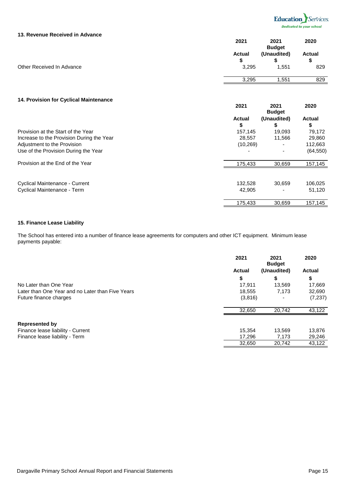

#### **13. Revenue Received in Advance**

|                           | 2021                        | 2021<br><b>Budget</b> | 2020                       |
|---------------------------|-----------------------------|-----------------------|----------------------------|
| Other Received In Advance | <b>Actual</b><br>S<br>3,295 | (Unaudited)<br>1,551  | <b>Actual</b><br>\$<br>829 |
|                           | 3,295                       | ,551                  | 829                        |

#### **14. Provision for Cyclical Maintenance**

|                                           | 2021               | 2021<br><b>Budget</b> | 2020                |
|-------------------------------------------|--------------------|-----------------------|---------------------|
|                                           | <b>Actual</b><br>S | (Unaudited)<br>J      | <b>Actual</b><br>\$ |
| Provision at the Start of the Year        | 157,145            | 19,093                | 79,172              |
| Increase to the Provision During the Year | 28.557             | 11,566                | 29,860              |
| Adjustment to the Provision               | (10, 269)          |                       | 112,663             |
| Use of the Provision During the Year      |                    | ۰                     | (64, 550)           |
| Provision at the End of the Year          | 175,433            | 30,659                | 157,145             |
| <b>Cyclical Maintenance - Current</b>     | 132,528            | 30.659                | 106,025             |
| <b>Cyclical Maintenance - Term</b>        | 42,905             |                       | 51,120              |
|                                           | 175,433            | 30,659                | 157,145             |

#### **15. Finance Lease Liability**

The School has entered into a number of finance lease agreements for computers and other ICT equipment. Minimum lease payments payable:

|                                                  | 2021          | 2021<br><b>Budget</b> | 2020          |
|--------------------------------------------------|---------------|-----------------------|---------------|
|                                                  | <b>Actual</b> | (Unaudited)           | <b>Actual</b> |
|                                                  | \$            | \$                    | \$            |
| No Later than One Year                           | 17,911        | 13,569                | 17,669        |
| Later than One Year and no Later than Five Years | 18,555        | 7,173                 | 32,690        |
| Future finance charges                           | (3,816)       |                       | (7, 237)      |
|                                                  | 32,650        | 20,742                | 43,122        |
| <b>Represented by</b>                            |               |                       |               |
| Finance lease liability - Current                | 15.354        | 13.569                | 13,876        |
| Finance lease liability - Term                   | 17,296        | 7,173                 | 29,246        |
|                                                  | 32,650        | 20,742                | 43,122        |
|                                                  |               |                       |               |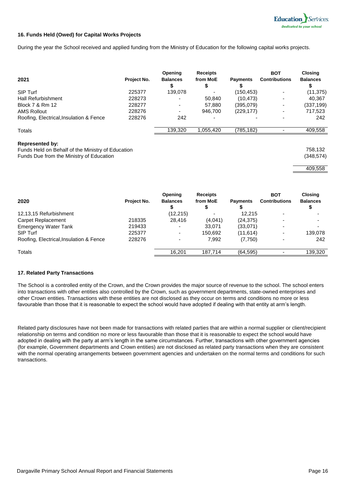

#### **16. Funds Held (Owed) for Capital Works Projects**

During the year the School received and applied funding from the Ministry of Education for the following capital works projects.

| 2021                                          | Project No. | <b>Opening</b><br><b>Balances</b> | <b>Receipts</b><br>from MoE | <b>Payments</b> | <b>BOT</b><br><b>Contributions</b> | <b>Closing</b><br><b>Balances</b> |
|-----------------------------------------------|-------------|-----------------------------------|-----------------------------|-----------------|------------------------------------|-----------------------------------|
| SIP Turf                                      | 225377      | 139,078                           |                             | (150,453)       |                                    | (11, 375)                         |
| <b>Hall Refurbishment</b>                     | 228273      |                                   | 50,840                      | (10, 473)       | ۰                                  | 40,367                            |
| Block 7 & Rm 12                               | 228277      | $\overline{\phantom{0}}$          | 57,880                      | (395,079)       | ٠                                  | (337, 199)                        |
| <b>AMS Rollout</b>                            | 228276      |                                   | 946,700                     | (229, 177)      |                                    | 717,523                           |
| Roofing, Electrical, Insulation & Fence       | 228276      | 242                               |                             |                 |                                    | 242                               |
| <b>Totals</b>                                 |             | 139,320                           | 1,055,420                   | (785,182)       |                                    | 409,558                           |
| For a contract of the first state of the con- |             |                                   |                             |                 |                                    |                                   |

#### **Represented by:**

Funds Held on Behalf of the Ministry of Education 758,132 Funds Due from the Ministry of Education (348,574)



| 2020                                    | Project No. | <b>Opening</b><br><b>Balances</b> | <b>Receipts</b><br>from MoE | <b>Payments</b> | <b>BOT</b><br><b>Contributions</b> | <b>Closing</b><br><b>Balances</b> |
|-----------------------------------------|-------------|-----------------------------------|-----------------------------|-----------------|------------------------------------|-----------------------------------|
| 12,13,15 Refurbishment                  |             | (12, 215)                         |                             | 12.215          | $\overline{\phantom{a}}$           |                                   |
| <b>Carpet Replacement</b>               | 218335      | 28.416                            | (4,041)                     | (24, 375)       | ۰                                  |                                   |
| <b>Emergency Water Tank</b>             | 219433      |                                   | 33,071                      | (33,071)        | $\overline{\phantom{0}}$           |                                   |
| SIP Turf                                | 225377      | $\blacksquare$                    | 150,692                     | (11, 614)       | ۰                                  | 139,078                           |
| Roofing, Electrical, Insulation & Fence | 228276      | ۰                                 | 7,992                       | (7, 750)        | ۰                                  | 242                               |
| Totals                                  |             | 16.201                            | 187.714                     | (64, 595)       |                                    | 139,320                           |

#### **17. Related Party Transactions**

The School is a controlled entity of the Crown, and the Crown provides the major source of revenue to the school. The school enters into transactions with other entities also controlled by the Crown, such as government departments, state-owned enterprises and other Crown entities. Transactions with these entities are not disclosed as they occur on terms and conditions no more or less favourable than those that it is reasonable to expect the school would have adopted if dealing with that entity at arm's length.

Related party disclosures have not been made for transactions with related parties that are within a normal supplier or client/recipient relationship on terms and condition no more or less favourable than those that it is reasonable to expect the school would have adopted in dealing with the party at arm's length in the same circumstances. Further, transactions with other government agencies (for example, Government departments and Crown entities) are not disclosed as related party transactions when they are consistent with the normal operating arrangements between government agencies and undertaken on the normal terms and conditions for such transactions.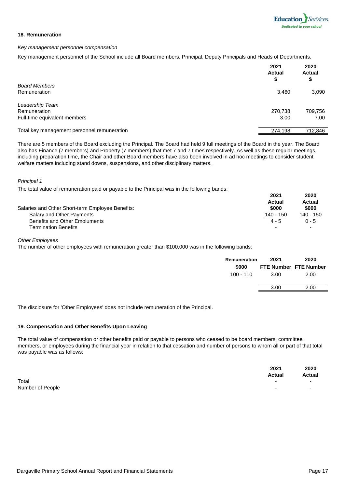#### **18. Remuneration**

#### *Key management personnel compensation*

Key management personnel of the School include all Board members, Principal, Deputy Principals and Heads of Departments.

|                                             | 2021<br><b>Actual</b><br>\$ | 2020<br><b>Actual</b><br>\$ |
|---------------------------------------------|-----------------------------|-----------------------------|
| <b>Board Members</b>                        |                             |                             |
| Remuneration                                | 3,460                       | 3,090                       |
| Leadership Team                             |                             |                             |
| Remuneration                                | 270,738                     | 709,756                     |
| Full-time equivalent members                | 3.00                        | 7.00                        |
| Total key management personnel remuneration | 274,198                     | 712,846                     |

There are 5 members of the Board excluding the Principal. The Board had held 9 full meetings of the Board in the year. The Board also has Finance (7 members) and Property (7 members) that met 7 and 7 times respectively. As well as these regular meetings, including preparation time, the Chair and other Board members have also been involved in ad hoc meetings to consider student welfare matters including stand downs, suspensions, and other disciplinary matters.

#### *Principal 1*

The total value of remuneration paid or payable to the Principal was in the following bands:

|                                                  | 2021<br>Actual | 2020<br>Actual |
|--------------------------------------------------|----------------|----------------|
| Salaries and Other Short-term Employee Benefits: | \$000          | \$000          |
| Salary and Other Payments                        | 140 - 150      | 140 - 150      |
| <b>Benefits and Other Emoluments</b>             | $4 - 5$        | $0 - 5$        |
| Termination Benefits                             | ۰              |                |

*Other Employees*

The number of other employees with remuneration greater than \$100,000 was in the following bands:

| Remuneration | 2021 | 2020                  |
|--------------|------|-----------------------|
| \$000        |      | FTE Number FTE Number |
| 100 - 110    | 3.00 | 2.00                  |
|              | 3.00 | 2.00                  |

The disclosure for 'Other Employees' does not include remuneration of the Principal.

#### **19. Compensation and Other Benefits Upon Leaving**

The total value of compensation or other benefits paid or payable to persons who ceased to be board members, committee members, or employees during the financial year in relation to that cessation and number of persons to whom all or part of that total was payable was as follows:

|                  | 2021<br><b>Actual</b> | 2020<br><b>Actual</b>    |
|------------------|-----------------------|--------------------------|
| Total            |                       | $\overline{\phantom{0}}$ |
| Number of People |                       | $\overline{\phantom{a}}$ |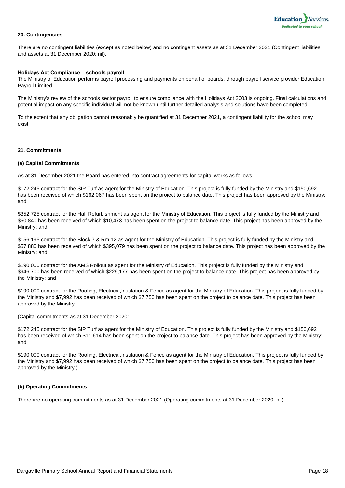

#### **20. Contingencies**

There are no contingent liabilities (except as noted below) and no contingent assets as at 31 December 2021 (Contingent liabilities and assets at 31 December 2020: nil).

#### **Holidays Act Compliance – schools payroll**

The Ministry of Education performs payroll processing and payments on behalf of boards, through payroll service provider Education Payroll Limited.

The Ministry's review of the schools sector payroll to ensure compliance with the Holidays Act 2003 is ongoing. Final calculations and potential impact on any specific individual will not be known until further detailed analysis and solutions have been completed.

To the extent that any obligation cannot reasonably be quantified at 31 December 2021, a contingent liability for the school may exist.

#### **21. Commitments**

#### **(a) Capital Commitments**

As at 31 December 2021 the Board has entered into contract agreements for capital works as follows:

\$172,245 contract for the SIP Turf as agent for the Ministry of Education. This project is fully funded by the Ministry and \$150,692 has been received of which \$162,067 has been spent on the project to balance date. This project has been approved by the Ministry; and

\$352,725 contract for the Hall Refurbishment as agent for the Ministry of Education. This project is fully funded by the Ministry and \$50,840 has been received of which \$10,473 has been spent on the project to balance date. This project has been approved by the Ministry; and

\$156,195 contract for the Block 7 & Rm 12 as agent for the Ministry of Education. This project is fully funded by the Ministry and \$57,880 has been received of which \$395,079 has been spent on the project to balance date. This project has been approved by the Ministry; and

\$190,000 contract for the AMS Rollout as agent for the Ministry of Education. This project is fully funded by the Ministry and \$946,700 has been received of which \$229,177 has been spent on the project to balance date. This project has been approved by the Ministry; and

\$190,000 contract for the Roofing, Electrical,Insulation & Fence as agent for the Ministry of Education. This project is fully funded by the Ministry and \$7,992 has been received of which \$7,750 has been spent on the project to balance date. This project has been approved by the Ministry.

(Capital commitments as at 31 December 2020:

\$172,245 contract for the SIP Turf as agent for the Ministry of Education. This project is fully funded by the Ministry and \$150,692 has been received of which \$11,614 has been spent on the project to balance date. This project has been approved by the Ministry; and

\$190,000 contract for the Roofing, Electrical,Insulation & Fence as agent for the Ministry of Education. This project is fully funded by the Ministry and \$7,992 has been received of which \$7,750 has been spent on the project to balance date. This project has been approved by the Ministry.)

#### **(b) Operating Commitments**

There are no operating commitments as at 31 December 2021 (Operating commitments at 31 December 2020: nil).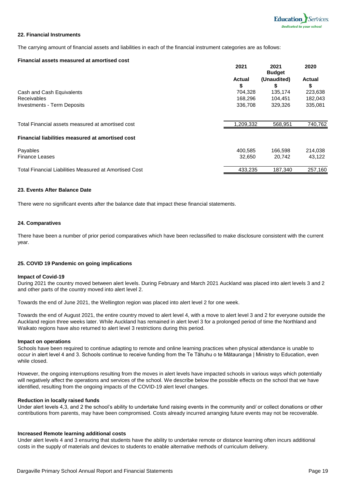

#### **22. Financial Instruments**

The carrying amount of financial assets and liabilities in each of the financial instrument categories are as follows:

#### **Financial assets measured at amortised cost 2021 2021 2020 Actual Budget (Unaudited) Actual \$ \$ \$** Cash and Cash Equivalents **704,328** 135,174 223,638 Receivables 168,296 104,451 182,043 Investments - Term Deposits 336,708 329,326 335,081 Total Financial assets measured at amortised cost 1,209,332 568,951 740,762 Payables 400,585 166,598 214,038 Finance Leases 32,650 20,742 43,122 Total Financial Liabilities Measured at Amortised Cost 433,235 433,235 187,340 257,160 **Financial liabilities measured at amortised cost**

#### **23. Events After Balance Date**

There were no significant events after the balance date that impact these financial statements.

#### **24. Comparatives**

There have been a number of prior period comparatives which have been reclassified to make disclosure consistent with the current year.

#### **25. COVID 19 Pandemic on going implications**

#### **Impact of Covid-19**

During 2021 the country moved between alert levels. During February and March 2021 Auckland was placed into alert levels 3 and 2 and other parts of the country moved into alert level 2.

Towards the end of June 2021, the Wellington region was placed into alert level 2 for one week.

Towards the end of August 2021, the entire country moved to alert level 4, with a move to alert level 3 and 2 for everyone outside the Auckland region three weeks later. While Auckland has remained in alert level 3 for a prolonged period of time the Northland and Waikato regions have also returned to alert level 3 restrictions during this period.

#### **Impact on operations**

Schools have been required to continue adapting to remote and online learning practices when physical attendance is unable to occur in alert level 4 and 3. Schools continue to receive funding from the Te Tāhuhu o te Mātauranga | Ministry to Education, even while closed.

However, the ongoing interruptions resulting from the moves in alert levels have impacted schools in various ways which potentially will negatively affect the operations and services of the school. We describe below the possible effects on the school that we have identified, resulting from the ongoing impacts of the COVID-19 alert level changes.

#### **Reduction in locally raised funds**

Under alert levels 4,3, and 2 the school's ability to undertake fund raising events in the community and/ or collect donations or other contributions from parents, may have been compromised. Costs already incurred arranging future events may not be recoverable.

#### **Increased Remote learning additional costs**

Under alert levels 4 and 3 ensuring that students have the ability to undertake remote or distance learning often incurs additional costs in the supply of materials and devices to students to enable alternative methods of curriculum delivery.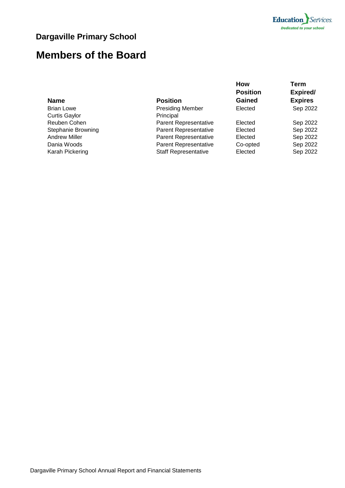

### **Dargaville Primary School**

### **Members of the Board**

### **Name Position**

| наше                      | וועוונט ו                    |          | $-$ ^~'  |
|---------------------------|------------------------------|----------|----------|
| <b>Brian Lowe</b>         | <b>Presiding Member</b>      | Elected  | Sep 2022 |
| <b>Curtis Gaylor</b>      | Principal                    |          |          |
| Reuben Cohen              | <b>Parent Representative</b> | Elected  | Sep 2022 |
| <b>Stephanie Browning</b> | <b>Parent Representative</b> | Elected  | Sep 2022 |
| <b>Andrew Miller</b>      | <b>Parent Representative</b> | Elected  | Sep 2022 |
| Dania Woods               | <b>Parent Representative</b> | Co-opted | Sep 2022 |
| Karah Pickering           | <b>Staff Representative</b>  | Elected  | Sep 2022 |
|                           |                              |          |          |

**How Position Gained**

| Expired/       |
|----------------|
| <b>Expires</b> |
| Sep 2022       |
|                |
| Sep 2022       |
| Sep 2022       |
| Can nonn       |

**Term**